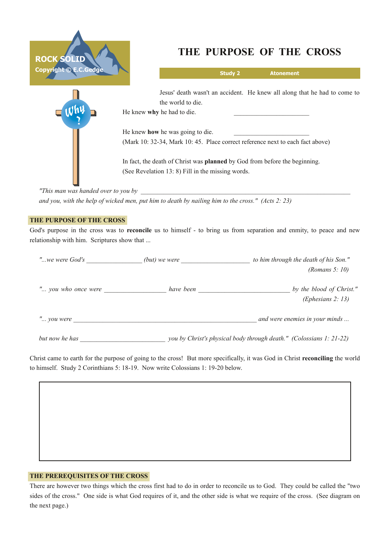



# **THE PURPOSE OF THE CROSS**

| <b>Study 2</b><br><b>Atonement</b>                                                |  |  |  |
|-----------------------------------------------------------------------------------|--|--|--|
| Jesus' death wasn't an accident. He knew all along that he had to come to         |  |  |  |
| the world to die.                                                                 |  |  |  |
| He knew why he had to die.                                                        |  |  |  |
| He knew how he was going to die.                                                  |  |  |  |
| (Mark 10: 32-34, Mark 10: 45. Place correct reference next to each fact above)    |  |  |  |
| In fact, the death of Christ was <b>planned</b> by God from before the beginning. |  |  |  |
|                                                                                   |  |  |  |

*"This man was handed over to you by \_\_\_\_\_\_\_\_\_\_\_\_\_\_\_\_\_\_\_\_\_\_\_\_\_\_\_\_\_\_\_\_\_\_\_\_\_\_\_\_\_\_\_\_\_\_\_\_\_\_\_\_\_\_\_\_\_\_\_\_\_\_\_\_* and you, with the help of wicked men, put him to death by nailing him to the cross." (Acts 2: 23)

## **THE PURPOSE OF THE CROSS**

God's purpose in the cross was to **reconcile** us to himself - to bring us from separation and enmity, to peace and new relationship with him. Scriptures show that ...

| "we were God's      | (but) we were | to him through the death of his Son."                               |  |
|---------------------|---------------|---------------------------------------------------------------------|--|
|                     |               | (Romans 5: 10)                                                      |  |
| " you who once were | have been     | by the blood of Christ."<br>(Ephesians 2: 13)                       |  |
| " you were          |               | and were enemies in your minds                                      |  |
| but now he has      |               | you by Christ's physical body through death." (Colossians 1: 21-22) |  |

Christ came to earth for the purpose of going to the cross! But more specifically, it was God in Christ **reconciling** the world to himself. Study 2 Corinthians 5: 18-19. Now write Colossians 1: 19-20 below.

#### **THE PREREQUISITES OF THE CROSS**

There are however two things which the cross first had to do in order to reconcile us to God. They could be called the "two sides of the cross." One side is what God requires of it, and the other side is what we require of the cross. (See diagram on the next page.)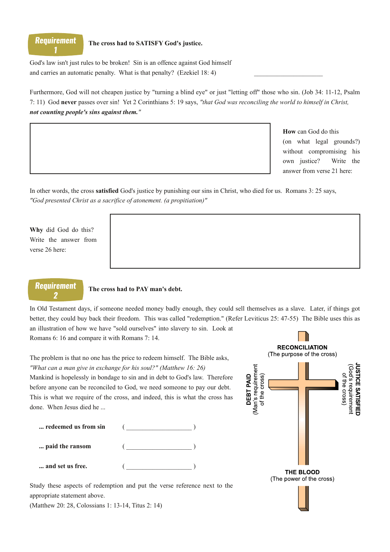

#### **The cross had to SATISFY God's justice.**

God's law isn't just rules to be broken! Sin is an offence against God himself and carries an automatic penalty. What is that penalty? (Ezekiel  $18: 4$ )

Furthermore, God will not cheapen justice by "turning a blind eye" or just "letting off" those who sin. (Job 34: 11-12, Psalm 7: 11) God **never** passes over sin! Yet 2 Corinthians 5: 19 says, *"that God was reconciling the world to himself in Christ, not counting people's sins against them."*

> **How** can God do this (on what legal grounds?) without compromising his own justice? Write the answer from verse 21 here:

In other words, the cross **satisfied** God's justice by punishing our sins in Christ, who died for us. Romans 3: 25 says, *"God presented Christ as a sacrifice of atonement. (a propitiation)"*

**Why** did God do this? Write the answer from verse 26 here:

## **Requirement** 9

#### **The cross had to PAY man's debt.**

In Old Testament days, if someone needed money badly enough, they could sell themselves as a slave. Later, if things got better, they could buy back their freedom. This was called "redemption." (Refer Leviticus 25: 4755) The Bible uses this as an illustration of how we have "sold ourselves" into slavery to sin. Look at Romans 6: 16 and compare it with Romans 7: 14.

The problem is that no one has the price to redeem himself. The Bible asks, *"What can a man give in exchange for his soul?" (Matthew 16: 26)*

Mankind is hopelessly in bondage to sin and in debt to God's law. Therefore before anyone can be reconciled to God, we need someone to pay our debt. This is what we require of the cross, and indeed, this is what the cross has done. When Jesus died he ...

| redeemed us from sin |  |
|----------------------|--|
| paid the ransom      |  |
| and set us free.     |  |

Study these aspects of redemption and put the verse reference next to the appropriate statement above.

(Matthew 20: 28, Colossians 1: 13-14, Titus 2: 14)